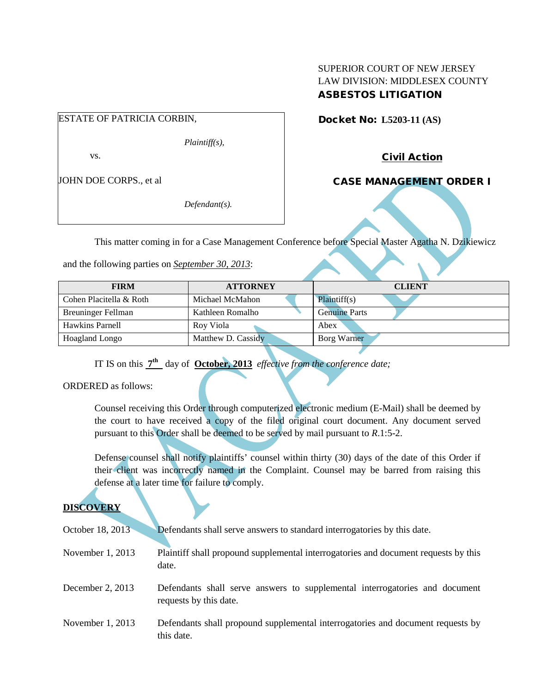## SUPERIOR COURT OF NEW JERSEY LAW DIVISION: MIDDLESEX COUNTY ASBESTOS LITIGATION

# ESTATE OF PATRICIA CORBIN,

*Plaintiff(s),*

vs.

JOHN DOE CORPS., et al

*Defendant(s).*

Docket No: **L5203-11 (AS)** 

Civil Action

CASE MANAGEMENT ORDER I

This matter coming in for a Case Management Conference before Special Master Agatha N. Dzikiewicz

and the following parties on *September 30, 2013*:

| <b>FIRM</b>               | <b>ATTORNEY</b>    | <b>CLIENT</b>        |
|---------------------------|--------------------|----------------------|
| Cohen Placitella & Roth   | Michael McMahon    | Plaintiff(s)         |
| <b>Breuninger Fellman</b> | Kathleen Romalho   | <b>Genuine Parts</b> |
| <b>Hawkins Parnell</b>    | Roy Viola          | Abex                 |
| Hoagland Longo            | Matthew D. Cassidy | Borg Warner          |

IT IS on this **7th** day of **October, 2013** *effective from the conference date;*

ORDERED as follows:

Counsel receiving this Order through computerized electronic medium (E-Mail) shall be deemed by the court to have received a copy of the filed original court document. Any document served pursuant to this Order shall be deemed to be served by mail pursuant to *R*.1:5-2.

Defense counsel shall notify plaintiffs' counsel within thirty (30) days of the date of this Order if their client was incorrectly named in the Complaint. Counsel may be barred from raising this defense at a later time for failure to comply.

# **DISCOVERY**

| October 18, 2013   | Defendants shall serve answers to standard interrogatories by this date.                              |
|--------------------|-------------------------------------------------------------------------------------------------------|
| November $1, 2013$ | Plaintiff shall propound supplemental interrogatories and document requests by this<br>date.          |
| December 2, $2013$ | Defendants shall serve answers to supplemental interrogatories and document<br>requests by this date. |
| November $1, 2013$ | Defendants shall propound supplemental interrogatories and document requests by<br>this date.         |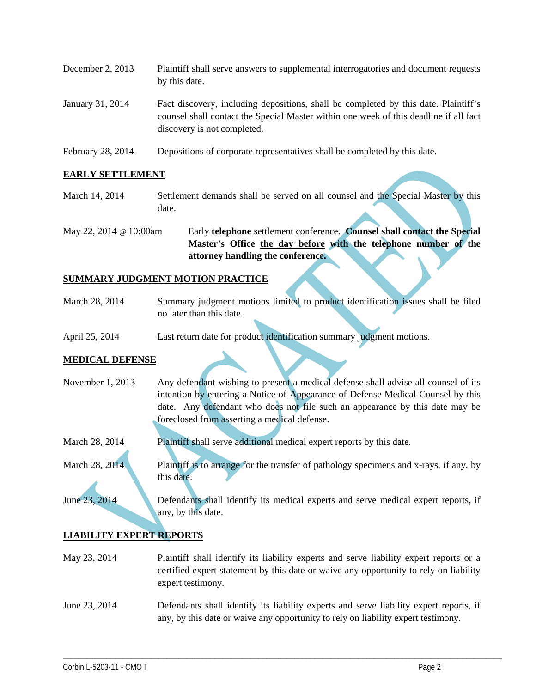| December 2, $2013$ | Plaintiff shall serve answers to supplemental interrogatories and document requests<br>by this date.                                                                                                        |
|--------------------|-------------------------------------------------------------------------------------------------------------------------------------------------------------------------------------------------------------|
| January 31, 2014   | Fact discovery, including depositions, shall be completed by this date. Plaintiff's<br>counsel shall contact the Special Master within one week of this deadline if all fact<br>discovery is not completed. |

February 28, 2014 Depositions of corporate representatives shall be completed by this date.

## **EARLY SETTLEMENT**

- March 14, 2014 Settlement demands shall be served on all counsel and the Special Master by this date.
- May 22, 2014 @ 10:00am Early **telephone** settlement conference. **Counsel shall contact the Special Master's Office the day before with the telephone number of the attorney handling the conference.**

## **SUMMARY JUDGMENT MOTION PRACTICE**

- March 28, 2014 Summary judgment motions limited to product identification issues shall be filed no later than this date.
- April 25, 2014 Last return date for product identification summary judgment motions.

## **MEDICAL DEFENSE**

- November 1, 2013 Any defendant wishing to present a medical defense shall advise all counsel of its intention by entering a Notice of Appearance of Defense Medical Counsel by this date. Any defendant who does not file such an appearance by this date may be foreclosed from asserting a medical defense.
- March 28, 2014 Plaintiff shall serve additional medical expert reports by this date.

March 28, 2014 Plaintiff is to arrange for the transfer of pathology specimens and x-rays, if any, by this date.

June 23, 2014 Defendants shall identify its medical experts and serve medical expert reports, if any, by this date.

#### **LIABILITY EXPERT REPORTS**

- May 23, 2014 Plaintiff shall identify its liability experts and serve liability expert reports or a certified expert statement by this date or waive any opportunity to rely on liability expert testimony.
- June 23, 2014 Defendants shall identify its liability experts and serve liability expert reports, if any, by this date or waive any opportunity to rely on liability expert testimony.

\_\_\_\_\_\_\_\_\_\_\_\_\_\_\_\_\_\_\_\_\_\_\_\_\_\_\_\_\_\_\_\_\_\_\_\_\_\_\_\_\_\_\_\_\_\_\_\_\_\_\_\_\_\_\_\_\_\_\_\_\_\_\_\_\_\_\_\_\_\_\_\_\_\_\_\_\_\_\_\_\_\_\_\_\_\_\_\_\_\_\_\_\_\_\_\_\_\_\_\_\_\_\_\_\_\_\_\_\_\_